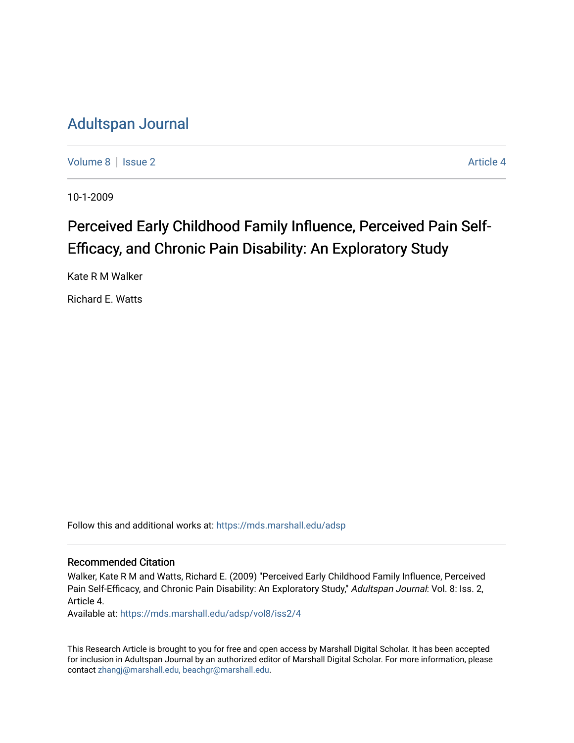## [Adultspan Journal](https://mds.marshall.edu/adsp)

[Volume 8](https://mds.marshall.edu/adsp/vol8) | [Issue 2](https://mds.marshall.edu/adsp/vol8/iss2) Article 4

10-1-2009

# Perceived Early Childhood Family Influence, Perceived Pain Self-Efficacy, and Chronic Pain Disability: An Exploratory Study

Kate R M Walker

Richard E. Watts

Follow this and additional works at: [https://mds.marshall.edu/adsp](https://mds.marshall.edu/adsp?utm_source=mds.marshall.edu%2Fadsp%2Fvol8%2Fiss2%2F4&utm_medium=PDF&utm_campaign=PDFCoverPages) 

## Recommended Citation

Walker, Kate R M and Watts, Richard E. (2009) "Perceived Early Childhood Family Influence, Perceived Pain Self-Efficacy, and Chronic Pain Disability: An Exploratory Study," Adultspan Journal: Vol. 8: Iss. 2, Article 4.

Available at: [https://mds.marshall.edu/adsp/vol8/iss2/4](https://mds.marshall.edu/adsp/vol8/iss2/4?utm_source=mds.marshall.edu%2Fadsp%2Fvol8%2Fiss2%2F4&utm_medium=PDF&utm_campaign=PDFCoverPages)

This Research Article is brought to you for free and open access by Marshall Digital Scholar. It has been accepted for inclusion in Adultspan Journal by an authorized editor of Marshall Digital Scholar. For more information, please contact [zhangj@marshall.edu, beachgr@marshall.edu](mailto:zhangj@marshall.edu,%20beachgr@marshall.edu).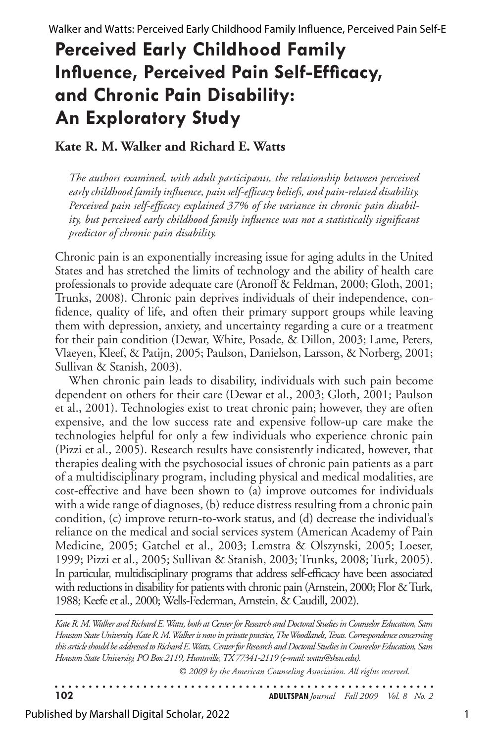# **Perceived Early Childhood Family Influence, Perceived Pain Self-Efficacy, and Chronic Pain Disability: An Exploratory Study**

## **Kate R. M. Walker and Richard E. Watts**

*The authors examined, with adult participants, the relationship between perceived early childhood family influence, pain self-efficacy beliefs, and pain-related disability. Perceived pain self-efficacy explained 37% of the variance in chronic pain disability, but perceived early childhood family influence was not a statistically significant predictor of chronic pain disability.* 

Chronic pain is an exponentially increasing issue for aging adults in the United States and has stretched the limits of technology and the ability of health care professionals to provide adequate care (Aronoff & Feldman, 2000; Gloth, 2001; Trunks, 2008). Chronic pain deprives individuals of their independence, confidence, quality of life, and often their primary support groups while leaving them with depression, anxiety, and uncertainty regarding a cure or a treatment for their pain condition (Dewar, White, Posade, & Dillon, 2003; Lame, Peters, Vlaeyen, Kleef, & Patijn, 2005; Paulson, Danielson, Larsson, & Norberg, 2001; Sullivan & Stanish, 2003).

When chronic pain leads to disability, individuals with such pain become dependent on others for their care (Dewar et al., 2003; Gloth, 2001; Paulson et al., 2001). Technologies exist to treat chronic pain; however, they are often expensive, and the low success rate and expensive follow-up care make the technologies helpful for only a few individuals who experience chronic pain (Pizzi et al., 2005). Research results have consistently indicated, however, that therapies dealing with the psychosocial issues of chronic pain patients as a part of a multidisciplinary program, including physical and medical modalities, are cost-effective and have been shown to (a) improve outcomes for individuals with a wide range of diagnoses, (b) reduce distress resulting from a chronic pain condition, (c) improve return-to-work status, and (d) decrease the individual's reliance on the medical and social services system (American Academy of Pain Medicine, 2005; Gatchel et al., 2003; Lemstra & Olszynski, 2005; Loeser, 1999; Pizzi et al., 2005; Sullivan & Stanish, 2003; Trunks, 2008; Turk, 2005). In particular, multidisciplinary programs that address self-efficacy have been associated with reductions in disability for patients with chronic pain (Arnstein, 2000; Flor  $\&$  Turk, 1988;Keefeet al., 2000;Wells-Federman, Arnstein, & Caudill, 2002).

*Kate R. M. Walker and Richard E. Watts, both at Center for Research and Doctoral Studies in Counselor Education, Sam Houston State University. Kate R. M. Walker is now in private practice, The Woodlands, Texas. Correspondence concerning this article should be addressed to Richard E. Watts, Center for Research and Doctoral Studies in Counselor Education, Sam Houston State University, PO Box 2119, Huntsville, TX 77341-2119 (e-mail: watts@shsu.edu).* 

*© 2009 by the American Counseling Association. All rights reserved.*

. . . . . . . . . . . . . . . **102 ADULTSPAN***Journal Fall 2009 Vol. 8 No. 2*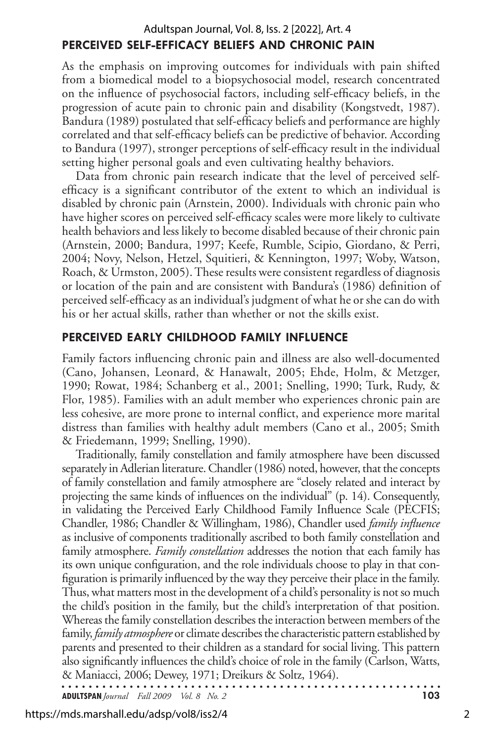## **Perceived Self-Efficacy Beliefs and Chronic Pain** Adultspan Journal, Vol. 8, Iss. 2 [2022], Art. 4

As the emphasis on improving outcomes for individuals with pain shifted from a biomedical model to a biopsychosocial model, research concentrated on the influence of psychosocial factors, including self-efficacy beliefs, in the progression of acute pain to chronic pain and disability (Kongstvedt, 1987). Bandura (1989) postulated that self-efficacy beliefs and performance are highly correlated and that self-efficacy beliefs can be predictive of behavior. According to Bandura (1997), stronger perceptions of self-efficacy result in the individual setting higher personal goals and even cultivating healthy behaviors.

Data from chronic pain research indicate that the level of perceived selfefficacy is a significant contributor of the extent to which an individual is disabled by chronic pain (Arnstein, 2000). Individuals with chronic pain who have higher scores on perceived self-efficacy scales were more likely to cultivate health behaviors and less likely to become disabled because of their chronic pain (Arnstein, 2000; Bandura, 1997; Keefe, Rumble, Scipio, Giordano, & Perri, 2004; Novy, Nelson, Hetzel, Squitieri, & Kennington, 1997; Woby, Watson, Roach, & Urmston, 2005). These results were consistent regardless of diagnosis or location of the pain and are consistent with Bandura's (1986) definition of perceived self-efficacy as an individual's judgment of what he or she can do with his or her actual skills, rather than whether or not the skills exist.

### **Perceived Early Childhood Family Influence**

Family factors influencing chronic pain and illness are also well-documented (Cano, Johansen, Leonard, & Hanawalt, 2005; Ehde, Holm, & Metzger, 1990; Rowat, 1984; Schanberg et al., 2001; Snelling, 1990; Turk, Rudy, & Flor, 1985). Families with an adult member who experiences chronic pain are less cohesive, are more prone to internal conflict, and experience more marital distress than families with healthy adult members (Cano et al., 2005; Smith & Friedemann, 1999; Snelling, 1990).

Traditionally, family constellation and family atmosphere have been discussed separately in Adlerian literature. Chandler (1986) noted, however, that the concepts of family constellation and family atmosphere are "closely related and interact by projecting the same kinds of influences on the individual" (p. 14). Consequently, in validating the Perceived Early Childhood Family Influence Scale (PECFIS; Chandler, 1986; Chandler & Willingham, 1986), Chandler used *family influence* as inclusive of components traditionally ascribed to both family constellation and family atmosphere. *Family constellation* addresses the notion that each family has its own unique configuration, and the role individuals choose to play in that configuration is primarily influenced by the way they perceive their place in the family. Thus, what matters most in the development of a child's personality is not so much the child's position in the family, but the child's interpretation of that position. Whereas the family constellation describes the interaction between members of the family, *family atmosphere* or climate describes the characteristic pattern established by parents and presented to their children as a standard for social living. This pattern also significantly influences the child's choice of role in the family (Carlson, Watts, & Maniacci, 2006; Dewey, 1971; Dreikurs & Soltz, 1964).

**ADULTSPAN***Journal Fall 2009 Vol. 8 No. 2* **103**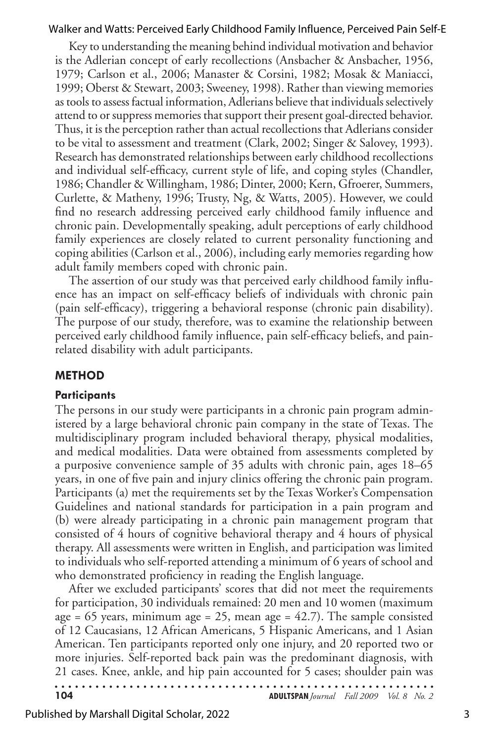Key to understanding the meaning behind individual motivation and behavior is the Adlerian concept of early recollections (Ansbacher & Ansbacher, 1956, 1979; Carlson et al., 2006; Manaster & Corsini, 1982; Mosak & Maniacci, 1999; Oberst & Stewart, 2003; Sweeney, 1998). Rather than viewing memories as tools to assess factual information, Adlerians believe that individuals selectively attend to or suppress memories that support their present goal-directed behavior. Thus, it is the perception rather than actual recollections that Adlerians consider to be vital to assessment and treatment (Clark, 2002; Singer & Salovey, 1993). Research has demonstrated relationships between early childhood recollections and individual self-efficacy, current style of life, and coping styles (Chandler, 1986; Chandler & Willingham, 1986; Dinter, 2000; Kern, Gfroerer, Summers, Curlette, & Matheny, 1996; Trusty, Ng, & Watts, 2005). However, we could find no research addressing perceived early childhood family influence and chronic pain. Developmentally speaking, adult perceptions of early childhood family experiences are closely related to current personality functioning and coping abilities (Carlson et al., 2006), including early memories regarding how adult family members coped with chronic pain.

The assertion of our study was that perceived early childhood family influence has an impact on self-efficacy beliefs of individuals with chronic pain (pain self-efficacy), triggering a behavioral response (chronic pain disability). The purpose of our study, therefore, was to examine the relationship between perceived early childhood family influence, pain self-efficacy beliefs, and painrelated disability with adult participants.

#### **Method**

#### **Participants**

The persons in our study were participants in a chronic pain program administered by a large behavioral chronic pain company in the state of Texas. The multidisciplinary program included behavioral therapy, physical modalities, and medical modalities. Data were obtained from assessments completed by a purposive convenience sample of 35 adults with chronic pain, ages 18–65 years, in one of five pain and injury clinics offering the chronic pain program. Participants (a) met the requirements set by the Texas Worker's Compensation Guidelines and national standards for participation in a pain program and (b) were already participating in a chronic pain management program that consisted of 4 hours of cognitive behavioral therapy and 4 hours of physical therapy. All assessments were written in English, and participation was limited to individuals who self-reported attending a minimum of 6 years of school and who demonstrated proficiency in reading the English language.

After we excluded participants' scores that did not meet the requirements for participation, 30 individuals remained: 20 men and 10 women (maximum age = 65 years, minimum age = 25, mean age =  $42.7$ ). The sample consisted of 12 Caucasians, 12 African Americans, 5 Hispanic Americans, and 1 Asian American. Ten participants reported only one injury, and 20 reported two or more injuries. Self-reported back pain was the predominant diagnosis, with 21 cases. Knee, ankle, and hip pain accounted for 5 cases; shoulder pain was

| 104 | <b>ADULTSPAN</b> Journal Fall 2009 Vol. 8 No. 2 |  |  |
|-----|-------------------------------------------------|--|--|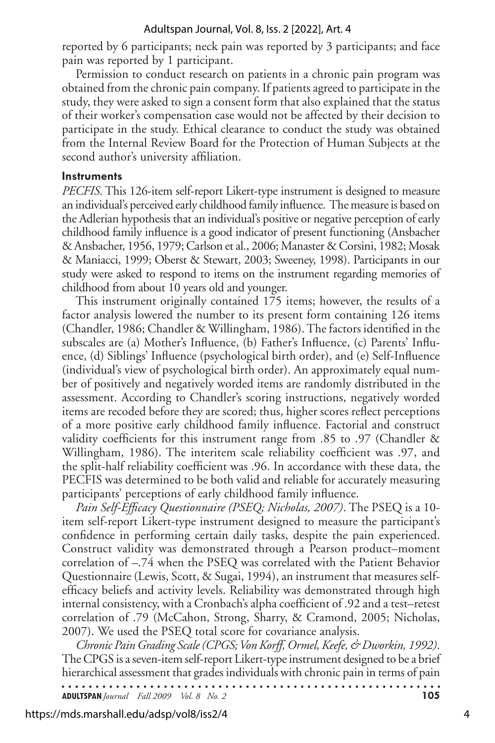reported by 6 participants; neck pain was reported by 3 participants; and face pain was reported by 1 participant.

Permission to conduct research on patients in a chronic pain program was obtained from the chronic pain company. If patients agreed to participate in the study, they were asked to sign a consent form that also explained that the status of their worker's compensation case would not be affected by their decision to participate in the study. Ethical clearance to conduct the study was obtained from the Internal Review Board for the Protection of Human Subjects at the second author's university affiliation.

#### **Instruments**

*PECFIS*. This 126-item self-report Likert-type instrument is designed to measure an individual's perceived early childhood family influence. The measure is based on the Adlerian hypothesis that an individual's positive or negative perception of early childhood family influence is a good indicator of present functioning (Ansbacher & Ansbacher, 1956, 1979; Carlson et al., 2006; Manaster & Corsini, 1982; Mosak & Maniacci, 1999; Oberst & Stewart, 2003; Sweeney, 1998). Participants in our study were asked to respond to items on the instrument regarding memories of childhood from about 10 years old and younger.

This instrument originally contained 175 items; however, the results of a factor analysis lowered the number to its present form containing 126 items (Chandler, 1986; Chandler & Willingham, 1986).Thefactors identified in the subscales are (a) Mother's Influence, (b) Father's Influence, (c) Parents' Influence, (d) Siblings' Influence (psychological birth order), and (e) Self-Influence (individual's view of psychological birth order). An approximately equal number of positively and negatively worded items are randomly distributed in the assessment. According to Chandler's scoring instructions, negatively worded items are recoded before they are scored; thus, higher scores reflect perceptions of a more positive early childhood family influence. Factorial and construct validity coefficients for this instrument range from .85 to .97 (Chandler & Willingham, 1986). The interitem scale reliability coefficient was .97, and the split-half reliability coefficient was .96. In accordance with these data, the PECFIS was determined to be both valid and reliable for accurately measuring participants' perceptions of early childhood family influence.

*Pain Self-Efficacy Questionnaire (PSEQ; Nicholas, 2007)*. The PSEQ is a 10 item self-report Likert-type instrument designed to measure the participant's confidence in performing certain daily tasks, despite the pain experienced. Construct validity was demonstrated through a Pearson product–moment correlation of –.74 when the PSEQ was correlated with the Patient Behavior Questionnaire(Lewis, Scott, & Sugai, 1994), an instrument that measures selfefficacy beliefs and activity levels. Reliability was demonstrated through high internal consistency, with a Cronbach's alpha coefficient of .92 and a test–retest correlation of .79 (McCahon, Strong, Sharry, & Cramond, 2005; Nicholas, 2007). We used the PSEQ total score for covariance analysis.

*Chronic Pain Grading Scale (CPGS; Von Korff, Ormel, Keefe, & Dworkin, 1992)*. The CPGS is a seven-item self-report Likert-type instrument designed to be a brief hierarchical assessment that grades individuals with chronic pain in terms of pain . . . . . . . . . . . . . .

**ADULTSPAN***Journal Fall 2009 Vol. 8 No. 2* **105**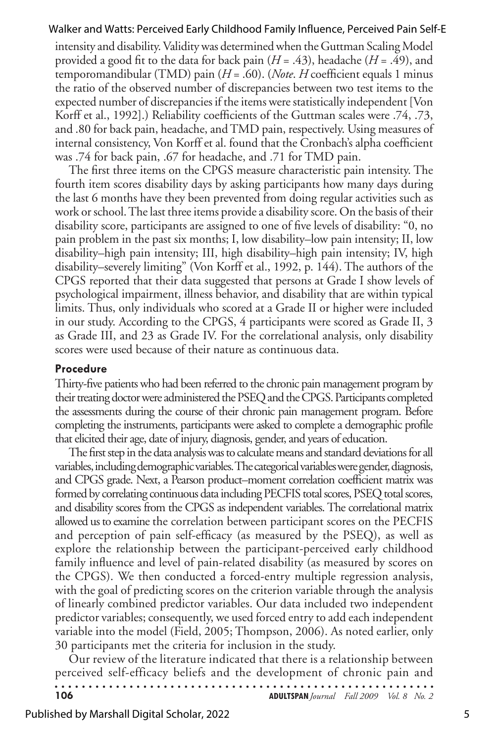intensity and disability. Validity was determined when the Guttman Scaling Model provided a good fit to the data for back pain (*H* = .43), headache (*H* = .49), and temporomandibular (TMD) pain (*H* = .60). (*Note*. *H* coefficient equals 1 minus the ratio of the observed number of discrepancies between two test items to the expected number of discrepancies if the items were statistically independent [Von Korff et al., 1992].) Reliability coefficients of the Guttman scales were .74, .73, and .80 for back pain, headache, andTMD pain, respectively. Using measures of internal consistency, Von Korff et al. found that the Cronbach's alpha coefficient was .74 for back pain, .67 for headache, and .71 for TMD pain.

The first three items on the CPGS measure characteristic pain intensity. The fourth item scores disability days by asking participants how many days during the last 6 months have they been prevented from doing regular activities such as work or school. The last three items provide a disability score. On the basis of their disability score, participants are assigned to one of five levels of disability: "0, no pain problem in the past six months; I, low disability–low pain intensity; II, low disability–high pain intensity; III, high disability–high pain intensity; IV, high disability–severely limiting" (Von Korff et al., 1992, p. 144). The authors of the CPGS reported that their data suggested that persons at Grade I show levels of psychological impairment, illness behavior, and disability that are within typical limits. Thus, only individuals who scored at a Grade II or higher were included in our study. According to the CPGS, 4 participants were scored as Grade II, 3 as Grade III, and 23 as Grade IV. For the correlational analysis, only disability scores were used because of their nature as continuous data.

#### **Procedure**

Thirty-five patientswho had been referred to the chronic painmanagement program by their treating doctor were administered the PSEQ and the CPGS. Participants completed the assessments during the course of their chronic pain management program. Before completing the instruments, participants were asked to complete a demographic profile that elicited their age, date of injury, diagnosis, gender, and years of education.

The first step in the data analysis was to calculate means and standard deviations for all variables, including demographic variables. The categorical variables were gender, diagnosis, and CPGS grade. Next, a Pearson product–moment correlation coefficient matrix was formed by correlating continuous data including PECFIS total scores, PSEQ total scores, and disability scores from the CPGS as independent variables.The correlational matrix allowed usto examine the correlation between participant scores on the PECFIS and perception of pain self-efficacy (as measured by the PSEQ), as well as explore the relationship between the participant-perceived early childhood family influence and level of pain-related disability (as measured by scores on the CPGS). We then conducted a forced-entry multiple regression analysis, with the goal of predicting scores on the criterion variable through the analysis of linearly combined predictor variables. Our data included two independent predictor variables; consequently, we used forced entry to add each independent variable into the model (Field, 2005; Thompson, 2006). As noted earlier, only 30 participants met the criteria for inclusion in the study.

Our review of the literature indicated that there is a relationship between perceived self-efficacy beliefs and the development of chronic pain and . . . . . . . . . . . .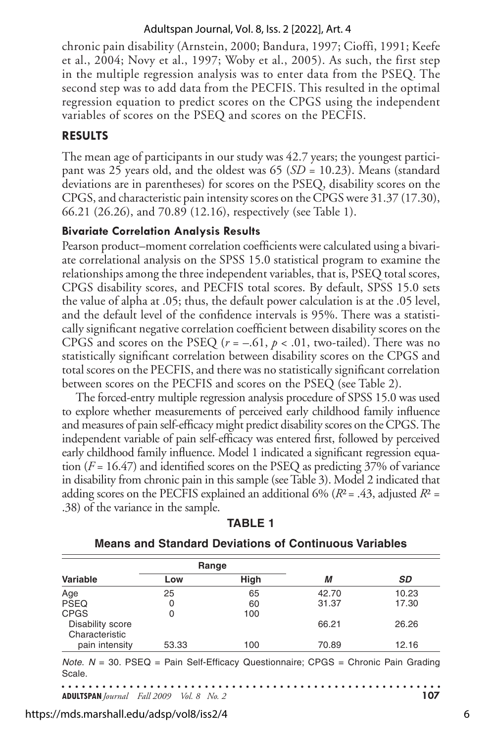chronic pain disability (Arnstein, 2000; Bandura, 1997; Cioffi, 1991; Keefe et al., 2004; Novy et al., 1997; Woby et al., 2005). As such, the first step in the multiple regression analysis was to enter data from the PSEQ. The second step was to add data from the PECFIS. This resulted in the optimal regression equation to predict scores on the CPGS using the independent variables of scores on the PSEQ and scores on the PECFIS.

## **Results**

The mean age of participants in our study was 42.7 years; the youngest participant was 25 years old, and the oldest was 65 (*SD* = 10.23). Means (standard deviations are in parentheses) for scores on the PSEQ, disability scores on the CPGS, and characteristic pain intensity scores on the CPGS were 31.37 (17.30), 66.21 (26.26), and 70.89 (12.16), respectively (see Table 1).

## **Bivariate Correlation Analysis Results**

Pearson product–moment correlation coefficients were calculated using a bivariate correlational analysis on the SPSS 15.0 statistical program to examine the relationships among the three independent variables, that is, PSEQ total scores, CPGS disability scores, and PECFIS total scores. By default, SPSS 15.0 sets the value of alpha at .05; thus, the default power calculation is at the .05 level, and the default level of the confidence intervals is 95%. There was a statistically significant negative correlation coefficient between disability scores on the CPGS and scores on the PSEQ ( $r = -.61$ ,  $p < .01$ , two-tailed). There was no statistically significant correlation between disability scores on the CPGS and total scores on the PECFIS, and there was no statistically significant correlation between scores on the PECFIS and scores on the PSEQ (see Table 2).

The forced-entry multiple regression analysis procedure of SPSS 15.0 was used to explore whether measurements of perceived early childhood family influence and measures of pain self-efficacy might predict disability scores on theCPGS.The independent variable of pain self-efficacy was entered first, followed by perceived early childhood family influence. Model 1 indicated a significant regression equation (*F* = 16.47) and identified scores on the PSEQ as predicting 37% of variance in disability from chronic pain in this sample(seeTable 3). Model 2 indicated that adding scores on the PECFIS explained an additional 6% (*R*²= .43, adjusted *R*² = .38) of the variance in the sample.

|                                    | Range |             |       |           |
|------------------------------------|-------|-------------|-------|-----------|
| Variable                           | Low   | <b>High</b> | М     | <b>SD</b> |
| Age                                | 25    | 65          | 42.70 | 10.23     |
| <b>PSEQ</b>                        | 0     | 60          | 31.37 | 17.30     |
| <b>CPGS</b>                        |       | 100         |       |           |
| Disability score<br>Characteristic |       |             | 66.21 | 26.26     |
| pain intensity                     | 53.33 | 100         | 70.89 | 12.16     |

|--|--|

## **Means and Standard Deviations of Continuous Variables**

*Note*. *N* = 30. PSEQ = Pain Self-Efficacy Questionnaire; CPGS = Chronic Pain Grading Scale.

. . . . . . . . . **ADULTSPAN***Journal Fall 2009 Vol. 8 No. 2* **107**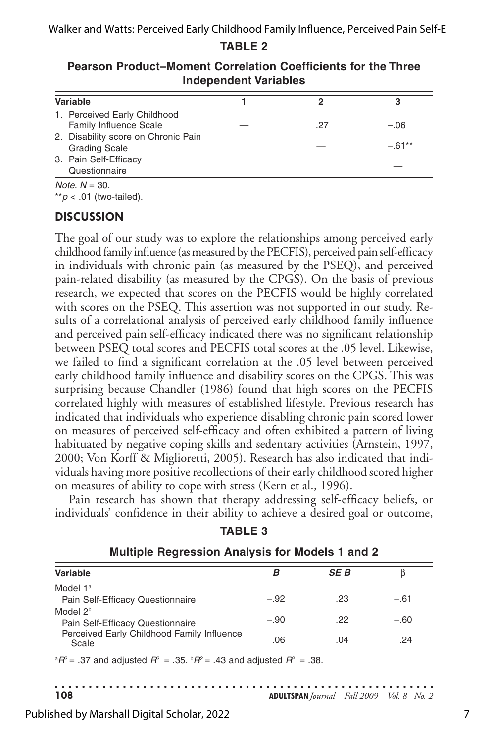| Variable                                                      |     |         |
|---------------------------------------------------------------|-----|---------|
| 1. Perceived Early Childhood<br><b>Family Influence Scale</b> | .27 | $-.06$  |
| 2. Disability score on Chronic Pain<br><b>Grading Scale</b>   |     | $-61**$ |
| 3. Pain Self-Efficacy<br>Questionnaire                        |     |         |

**Pearson Product–Moment Correlation Coefficients for the Three Independent Variables**

*Note*. *N* = 30.

\*\**p* < .01 (two-tailed).

## **Discussion**

The goal of our study was to explore the relationships among perceived early childhood family influence (as measured by the PECFIS), perceived pain self-efficacy in individuals with chronic pain (as measured by the PSEQ), and perceived pain-related disability (as measured by the CPGS). On the basis of previous research, we expected that scores on the PECFIS would be highly correlated with scores on the PSEQ. This assertion was not supported in our study. Results of a correlational analysis of perceived early childhood family influence and perceived pain self-efficacy indicated there was no significant relationship between PSEQ total scores and PECFIS total scores at the .05 level. Likewise, we failed to find a significant correlation at the .05 level between perceived early childhood family influence and disability scores on the CPGS. This was surprising because Chandler (1986) found that high scores on the PECFIS correlated highly with measures of established lifestyle. Previous research has indicated that individuals who experience disabling chronic pain scored lower on measures of perceived self-efficacy and often exhibited a pattern of living habituated by negative coping skills and sedentary activities (Arnstein, 1997, 2000; Von Korff & Miglioretti, 2005). Research has also indicated that individuals having more positive recollections of their early childhood scored higher on measures of ability to cope with stress (Kern et al., 1996).

Pain research has shown that therapy addressing self-efficacy beliefs, or individuals' confidence in their ability to achieve a desired goal or outcome,

| <b>MUNICIPY INCORPORATION AND INCORPORATION</b>                                |        |      |        |
|--------------------------------------------------------------------------------|--------|------|--------|
| Variable                                                                       |        | SE B |        |
| Model 1 <sup>a</sup><br>Pain Self-Efficacy Questionnaire                       | $-.92$ | .23  | $-.61$ |
| Model 2 <sup>b</sup>                                                           |        |      |        |
| Pain Self-Efficacy Questionnaire<br>Perceived Early Childhood Family Influence | $-.90$ | .22  | $-.60$ |
| Scale                                                                          | .06    | .04  | .24    |

**Multiple Regression Analysis for Models 1 and 2**

 ${}^{\alpha}P^2$  = .37 and adjusted  $R^2$  = .35.  ${}^{\beta}R^2$  = .43 and adjusted  $R^2$  = .38.

. . . . . . . . . . . . . . . . . . . . **108 ADULTSPAN***Journal Fall 2009 Vol. 8 No. 2* 

Published by Marshall Digital Scholar, 2022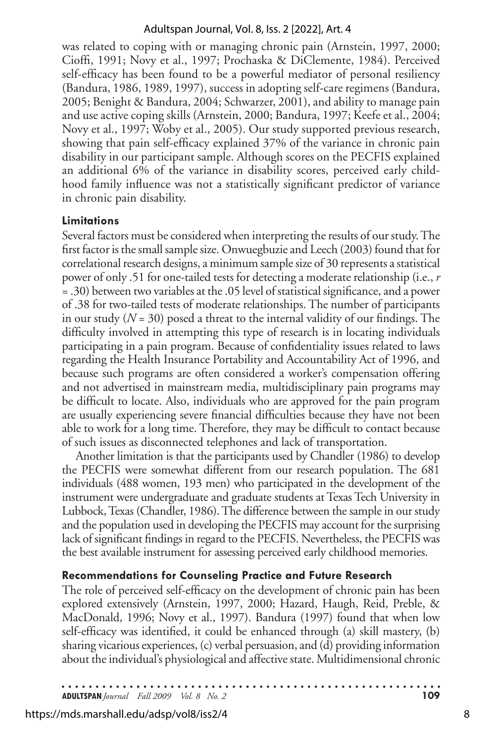was related to coping with or managing chronic pain (Arnstein, 1997, 2000; Cioffi, 1991; Novy et al., 1997; Prochaska & DiClemente, 1984). Perceived self-efficacy has been found to be a powerful mediator of personal resiliency (Bandura, 1986, 1989, 1997), success in adopting self-care regimens (Bandura, 2005; Benight & Bandura, 2004; Schwarzer, 2001), and ability to manage pain and use active coping skills (Arnstein, 2000; Bandura, 1997; Keefe et al., 2004; Novy et al., 1997; Woby et al., 2005). Our study supported previous research, showing that pain self-efficacy explained 37% of the variance in chronic pain disability in our participant sample. Although scores on the PECFIS explained an additional 6% of the variance in disability scores, perceived early childhood family influence was not a statistically significant predictor of variance in chronic pain disability.

## **Limitations**

Several factors must be considered when interpreting the results of our study. The first factor is the small sample size. Onwuegbuzie and Leech (2003) found that for correlational research designs, a minimum sample size of 30 represents a statistical power of only .51 for one-tailed tests for detecting a moderaterelationship (i.e., *r*  = .30) between two variables at the.05 level of statistical significance, and a power of .38 for two-tailed tests of moderate relationships. The number of participants in our study (*N* = 30) posed a threat to the internal validity of our findings. The difficulty involved in attempting this type of research is in locating individuals participating in a pain program. Because of confidentiality issues related to laws regarding the Health Insurance Portability and Accountability Act of 1996, and because such programs are often considered a worker's compensation offering and not advertised in mainstream media, multidisciplinary pain programs may be difficult to locate. Also, individuals who are approved for the pain program are usually experiencing severe financial difficulties because they have not been able to work for a long time. Therefore, they may be difficult to contact because of such issues as disconnected telephones and lack of transportation.

Another limitation is that the participants used by Chandler (1986) to develop the PECFIS were somewhat different from our research population. The 681 individuals (488 women, 193 men) who participated in the development of the instrument were undergraduate and graduate students at Texas Tech University in Lubbock, Texas (Chandler, 1986). The difference between the sample in our study and the population used in developing the PECFIS may account for the surprising lack of significant findings in regard to the PECFIS. Nevertheless, the PECFIS was the best available instrument for assessing perceived early childhood memories.

## **Recommendations for Counseling Practice and Future Research**

The role of perceived self-efficacy on the development of chronic pain has been explored extensively (Arnstein, 1997, 2000; Hazard, Haugh, Reid, Preble, & MacDonald, 1996; Novy et al., 1997). Bandura (1997) found that when low self-efficacy was identified, it could be enhanced through (a) skill mastery, (b) sharing vicarious experiences, (c) verbal persuasion, and (d) providing information about the individual's physiological and affective state. Multidimensional chronic

**ADULTSPAN***Journal Fall 2009 Vol. 8 No. 2* **109**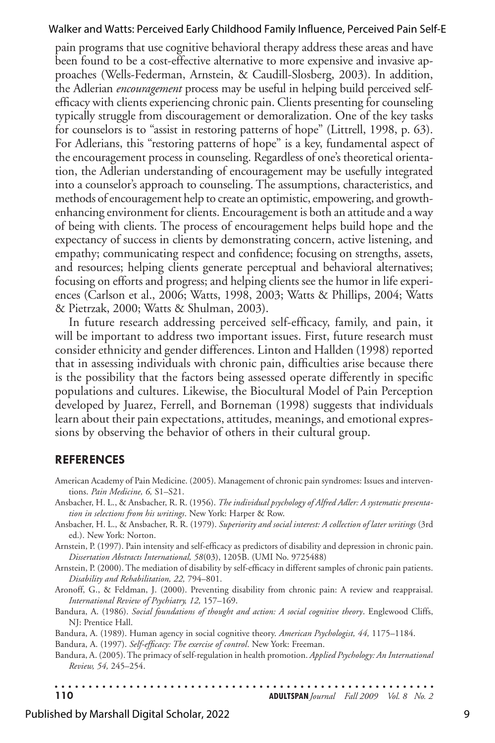pain programs that use cognitive behavioral therapy address these areas and have been found to be a cost-effective alternative to more expensive and invasive approaches (Wells-Federman, Arnstein, & Caudill-Slosberg, 2003). In addition, the Adlerian *encouragement* process may be useful in helping build perceived selfefficacy with clients experiencing chronic pain. Clients presenting for counseling typically struggle from discouragement or demoralization. One of the key tasks for counselors is to "assist in restoring patterns of hope" (Littrell, 1998, p. 63). For Adlerians, this "restoring patterns of hope" is a key, fundamental aspect of the encouragement process in counseling. Regardless of one's theoretical orientation, the Adlerian understanding of encouragement may be usefully integrated into a counselor's approach to counseling. The assumptions, characteristics, and methods of encouragement help to create an optimistic, empowering, and growthenhancing environment for clients. Encouragement is both an attitude and a way of being with clients. The process of encouragement helps build hope and the expectancy of success in clients by demonstrating concern, active listening, and empathy; communicating respect and confidence; focusing on strengths, assets, and resources; helping clients generate perceptual and behavioral alternatives; focusing on efforts and progress; and helping clients seethe humor in life experiences (Carlson et al., 2006; Watts, 1998, 2003; Watts & Phillips, 2004; Watts & Pietrzak, 2000; Watts & Shulman, 2003).

In future research addressing perceived self-efficacy, family, and pain, it will be important to address two important issues. First, future research must consider ethnicity and gender differences. Linton and Hallden (1998) reported that in assessing individuals with chronic pain, difficulties arise because there is the possibility that the factors being assessed operate differently in specific populations and cultures. Likewise, the Biocultural Model of Pain Perception developed by Juarez, Ferrell, and Borneman (1998) suggests that individuals learn about their pain expectations, attitudes, meanings, and emotional expressions by observing the behavior of others in their cultural group.

#### **References**

- American Academy of Pain Medicine. (2005). Management of chronic pain syndromes: Issues and interventions. *Pain Medicine, 6,* S1–S21.
- Ansbacher, H. L., & Ansbacher, R. R. (1956). *The individual psychology of Alfred Adler: A systematic presentation in selections from his writings*. New York: Harper & Row.
- Ansbacher, H. L., & Ansbacher, R. R. (1979). *Superiority and social interest: A collection of later writings* (3rd ed.). New York: Norton.

Arnstein, P. (1997). Pain intensity and self-efficacy as predictors of disability and depression in chronic pain. *Dissertation Abstracts International, 58*(03), 1205B. (UMI No. 9725488)

Arnstein, P. (2000). The mediation of disability by self-efficacy in different samples of chronic pain patients. *Disability and Rehabilitation, 22,* 794–801.

Aronoff, G., & Feldman, J. (2000). Preventing disability from chronic pain: A review and reappraisal. *International Review of Psychiatry, 12,* 157–169.

Bandura, A. (1986). *Social foundations of thought and action: A social cognitive theory*. Englewood Cliffs, NJ: Prentice Hall.

Bandura, A. (1989). Human agency in social cognitive theory. *American Psychologist, 44,* 1175–1184.

Bandura, A. (1997). *Self-efficacy: The exercise of control*. New York: Freeman.

Bandura, A. (2005).The primacy of self-regulation in health promotion. *Applied Psychology: An International Review, 54,* 245–254.

. . . . . . . . . . . . . . . . . . . . . . . . . . . . . . . **110 ADULTSPAN***Journal Fall 2009 Vol. 8 No. 2* 

#### Published by Marshall Digital Scholar, 2022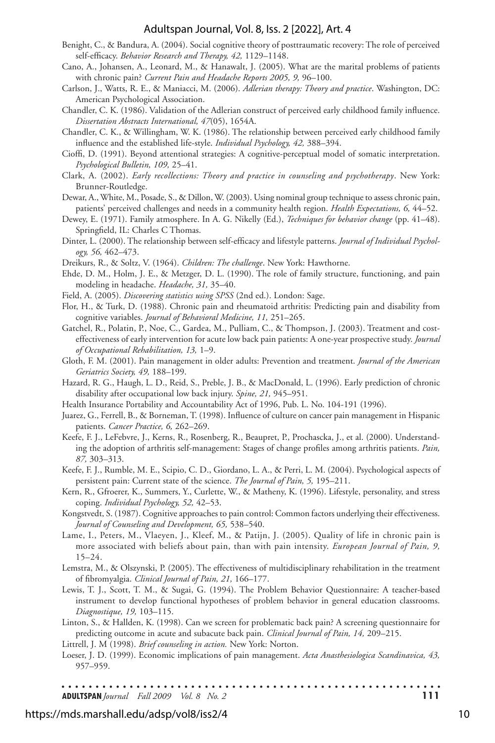- Benight, C., & Bandura, A. (2004). Social cognitive theory of posttraumatic recovery: The role of perceived self-efficacy. *Behavior Research and Therapy, 42,* 1129–1148.
- Cano, A., Johansen, A., Leonard, M., & Hanawalt, J. (2005). What are the marital problems of patients with chronic pain? *Current Pain and Headache Reports 2005, 9,* 96–100.
- Carlson, J., Watts, R. E., & Maniacci, M. (2006). *Adlerian therapy: Theory and practice*. Washington, DC: American Psychological Association.
- Chandler, C. K. (1986). Validation of the Adlerian construct of perceived early childhood family influence. *Dissertation Abstracts International, 47*(05), 1654A.
- Chandler, C. K., & Willingham, W. K. (1986). The relationship between perceived early childhood family influence and the established life-style. *Individual Psychology, 42,* 388–394.
- Cioffi, D. (1991). Beyond attentional strategies: A cognitive-perceptual model of somatic interpretation. *Psychological Bulletin, 109,* 25–41.
- Clark, A. (2002). *Early recollections: Theory and practice in counseling and psychotherapy*. New York: Brunner-Routledge.
- Dewar, A., White, M., Posade, S., & Dillon, W. (2003). Using nominal group techniqueto assess chronic pain, patients' perceived challenges and needs in a community health region. *Health Expectations, 6,* 44–52.
- Dewey, E. (1971). Family atmosphere. In A. G. Nikelly (Ed.), *Techniques for behavior change* (pp. 41–48). Springfield, IL: Charles C Thomas.
- Dinter, L. (2000). The relationship between self-efficacy and lifestyle patterns. *Journal of Individual Psychology, 56,* 462–473.
- Dreikurs, R., & Soltz, V. (1964). *Children: The challenge*. New York: Hawthorne.
- Ehde, D. M., Holm, J. E., & Metzger, D. L. (1990). The role of family structure, functioning, and pain modeling in headache. *Headache, 31,* 35–40.
- Field, A. (2005). *Discovering statistics using SPSS* (2nd ed.). London: Sage.
- Flor, H., & Turk, D. (1988). Chronic pain and rheumatoid arthritis: Predicting pain and disability from cognitive variables. *Journal of Behavioral Medicine, 11,* 251–265.
- Gatchel, R., Polatin, P., Noe, C., Gardea, M., Pulliam, C., & Thompson, J. (2003). Treatment and costeffectiveness of early intervention for acute low back pain patients: A one-year prospective study. *Journal of Occupational Rehabilitation, 13,* 1–9.
- Gloth, F. M. (2001). Pain management in older adults: Prevention and treatment. *Journal of the American Geriatrics Society, 49,* 188–199.
- Hazard, R. G., Haugh, L. D., Reid, S., Preble, J. B., & MacDonald, L. (1996). Early prediction of chronic disability after occupational low back injury. *Spine, 21,* 945–951.
- Health Insurance Portability and Accountability Act of 1996, Pub. L. No. 104-191 (1996).
- Juarez, G., Ferrell, B., & Borneman, T. (1998). Influence of culture on cancer pain management in Hispanic patients. *Cancer Practice, 6,* 262–269.
- Keefe, F. J., LeFebvre, J., Kerns, R., Rosenberg, R., Beaupret, P., Prochascka, J., et al. (2000). Understanding the adoption of arthritis self-management: Stages of change profiles among arthritis patients. *Pain, 87,* 303–313.
- Keefe, F. J., Rumble, M. E., Scipio, C. D., Giordano, L. A., & Perri, L. M. (2004). Psychological aspects of persistent pain: Current state of the science. *The Journal of Pain, 5,* 195–211.
- Kern, R., Gfroerer, K., Summers, Y., Curlette, W., & Matheny, K. (1996). Lifestyle, personality, and stress coping. *Individual Psychology, 52,* 42–53.

Kongstvedt, S. (1987). Cognitive approaches to pain control: Common factors underlying their effectiveness. *Journal of Counseling and Development, 65,* 538–540.

- Lame, I., Peters, M., Vlaeyen, J., Kleef, M., & Patijn, J. (2005). Quality of life in chronic pain is more associated with beliefs about pain, than with pain intensity. *European Journal of Pain, 9,*  15–24.
- Lemstra, M., & Olszynski, P. (2005). The effectiveness of multidisciplinary rehabilitation in the treatment of fibromyalgia. *Clinical Journal of Pain, 21,* 166–177.
- Lewis, T. J., Scott, T. M., & Sugai, G. (1994). The Problem Behavior Questionnaire: A teacher-based instrument to develop functional hypotheses of problem behavior in general education classrooms. *Diagnostique, 19,* 103–115.
- Linton, S., & Hallden, K. (1998). Can we screen for problematic back pain? A screening questionnaire for predicting outcome in acute and subacute back pain. *Clinical Journal of Pain, 14,* 209–215.

Littrell, J. M (1998). *Brief counseling in action.* New York: Norton.

Loeser, J. D. (1999). Economic implications of pain management. *Acta Anasthesiologica Scandinavica, 43,*  957–959.

. . . . . . . . . . . . . . . . . . . . . . . . . . . . . . . . **ADULTSPAN***Journal Fall 2009 Vol. 8 No. 2* **111**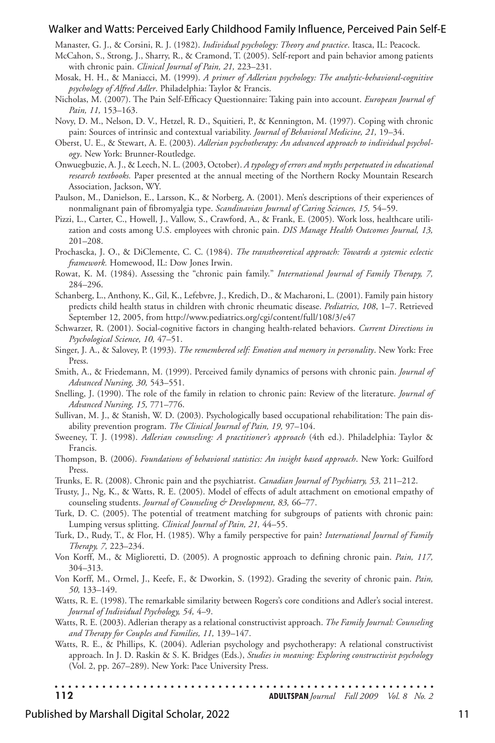Manaster, G. J., & Corsini, R. J. (1982). *Individual psychology: Theory and practice*. Itasca, IL: Peacock.

- McCahon, S., Strong, J., Sharry, R., & Cramond, T. (2005). Self-report and pain behavior among patients with chronic pain. *Clinical Journal of Pain, 21,* 223–231.
- Mosak, H. H., & Maniacci, M. (1999). *A primer of Adlerian psychology: The analytic-behavioral-cognitive psychology of Alfred Adler*. Philadelphia: Taylor & Francis.
- Nicholas, M. (2007). The Pain Self-Efficacy Questionnaire: Taking pain into account. *European Journal of Pain, 11,* 153–163.
- Novy, D. M., Nelson, D. V., Hetzel, R. D., Squitieri, P., & Kennington, M. (1997). Coping with chronic pain: Sources of intrinsic and contextual variability. *Journal of Behavioral Medicine, 21,* 19–34.
- Oberst, U. E., & Stewart, A. E. (2003). *Adlerian psychotherapy: An advanced approach to individual psychology*. New York: Brunner-Routledge.
- Onwuegbuzie, A. J., & Leech, N. L. (2003, October). *A typology of errors and myths perpetuated in educational research textbooks.* Paper presented at the annual meeting of the Northern Rocky Mountain Research Association, Jackson, WY.
- Paulson, M., Danielson, E., Larsson, K., & Norberg, A. (2001). Men's descriptions of their experiences of nonmalignant pain of fibromyalgia type. *Scandinavian Journal of Caring Sciences, 15,* 54–59.
- Pizzi, L., Carter, C., Howell, J., Vallow, S., Crawford, A., & Frank, E. (2005). Work loss, healthcare utilization and costs among U.S. employees with chronic pain. *DIS Manage Health Outcomes Journal, 13,*  201–208.
- Prochascka, J. O., & DiClemente, C. C. (1984). *The transtheoretical approach: Towards a systemic eclectic framework.* Homewood, IL: Dow Jones Irwin.
- Rowat, K. M. (1984). Assessing the "chronic pain family." *International Journal of Family Therapy, 7,*  284–296.
- Schanberg, L., Anthony, K., Gil, K., Lefebvre, J., Kredich, D., & Macharoni, L. (2001). Family pain history predicts child health status in children with chronic rheumatic disease. *Pediatrics, 108*, 1–7. Retrieved September 12, 2005, from http://www.pediatrics.org/cgi/content/full/108/3/e47
- Schwarzer, R. (2001). Social-cognitive factors in changing health-related behaviors. *Current Directions in Psychological Science, 10,* 47–51.
- Singer, J. A., & Salovey, P. (1993). *The remembered self: Emotion and memory in personality*. New York: Free Press.
- Smith, A., & Friedemann, M. (1999). Perceived family dynamics of persons with chronic pain. *Journal of Advanced Nursing, 30,* 543–551.
- Snelling, J. (1990). The role of the family in relation to chronic pain: Review of the literature. *Journal of Advanced Nursing, 15,* 771–776.
- Sullivan, M. J., & Stanish, W. D. (2003). Psychologically based occupational rehabilitation: The pain disability prevention program. *The Clinical Journal of Pain, 19,* 97–104.
- Sweeney, T. J. (1998). *Adlerian counseling: A practitioner's approach* (4th ed.). Philadelphia: Taylor & Francis.
- Thompson, B. (2006). *Foundations of behavioral statistics: An insight based approach*. New York: Guilford Press.
- Trunks, E. R. (2008). Chronic pain and the psychiatrist. *Canadian Journal of Psychiatry, 53,* 211–212.
- Trusty, J., Ng, K., & Watts, R. E. (2005). Model of effects of adult attachment on emotional empathy of counseling students. *Journal of Counseling & Development, 83,* 66–77.
- Turk, D. C. (2005). The potential of treatment matching for subgroups of patients with chronic pain: Lumping versus splitting. *Clinical Journal of Pain, 21,* 44–55.
- Turk, D., Rudy, T., & Flor, H. (1985). Why a family perspective for pain? *International Journal of Family Therapy, 7,* 223–234.
- Von Korff, M., & Miglioretti, D. (2005). A prognostic approach to defining chronic pain. *Pain, 117,*  304–313.
- Von Korff, M., Ormel, J., Keefe, F., & Dworkin, S. (1992). Grading the severity of chronic pain. *Pain, 50,* 133–149.
- Watts, R. E. (1998). The remarkable similarity between Rogers's core conditions and Adler's social interest. *Journal of Individual Psychology, 54,* 4–9.
- Watts, R. E. (2003). Adlerian therapy as a relational constructivist approach. *The Family Journal: Counseling and Therapy for Couples and Families, 11,* 139–147.
- Watts, R. E., & Phillips, K. (2004). Adlerian psychology and psychotherapy: A relational constructivist approach. In J. D. Raskin & S. K. Bridges (Eds.), *Studies in meaning: Exploring constructivist psychology* (Vol. 2, pp. 267–289). New York: Pace University Press.

**<sup>112</sup> ADULTSPAN***Journal Fall 2009 Vol. 8 No. 2*